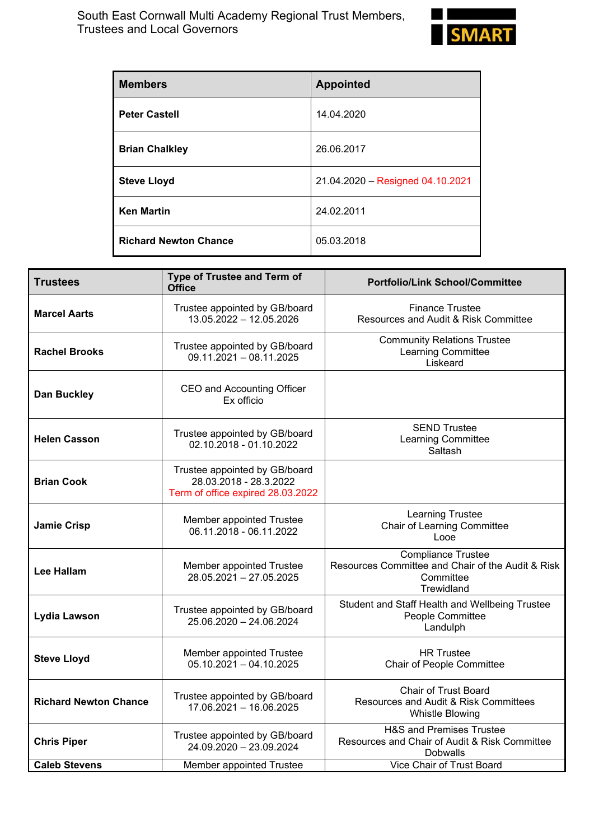

| <b>Members</b>               | <b>Appointed</b>                 |
|------------------------------|----------------------------------|
| <b>Peter Castell</b>         | 14.04.2020                       |
| <b>Brian Chalkley</b>        | 26.06.2017                       |
| <b>Steve Lloyd</b>           | 21.04.2020 - Resigned 04.10.2021 |
| <b>Ken Martin</b>            | 24.02.2011                       |
| <b>Richard Newton Chance</b> | 05.03.2018                       |

| <b>Trustees</b>              | Type of Trustee and Term of<br><b>Office</b>                                                 | <b>Portfolio/Link School/Committee</b>                                                                    |
|------------------------------|----------------------------------------------------------------------------------------------|-----------------------------------------------------------------------------------------------------------|
| <b>Marcel Aarts</b>          | Trustee appointed by GB/board<br>13.05.2022 - 12.05.2026                                     | <b>Finance Trustee</b><br>Resources and Audit & Risk Committee                                            |
| <b>Rachel Brooks</b>         | Trustee appointed by GB/board<br>$09.11.2021 - 08.11.2025$                                   | <b>Community Relations Trustee</b><br>Learning Committee<br>Liskeard                                      |
| <b>Dan Buckley</b>           | CEO and Accounting Officer<br>Ex officio                                                     |                                                                                                           |
| <b>Helen Casson</b>          | Trustee appointed by GB/board<br>02.10.2018 - 01.10.2022                                     | <b>SEND Trustee</b><br><b>Learning Committee</b><br>Saltash                                               |
| <b>Brian Cook</b>            | Trustee appointed by GB/board<br>28.03.2018 - 28.3.2022<br>Term of office expired 28.03.2022 |                                                                                                           |
| <b>Jamie Crisp</b>           | Member appointed Trustee<br>06.11.2018 - 06.11.2022                                          | <b>Learning Trustee</b><br><b>Chair of Learning Committee</b><br>Looe                                     |
| <b>Lee Hallam</b>            | Member appointed Trustee<br>28.05.2021 - 27.05.2025                                          | <b>Compliance Trustee</b><br>Resources Committee and Chair of the Audit & Risk<br>Committee<br>Trewidland |
| Lydia Lawson                 | Trustee appointed by GB/board<br>25.06.2020 - 24.06.2024                                     | Student and Staff Health and Wellbeing Trustee<br>People Committee<br>Landulph                            |
| <b>Steve Lloyd</b>           | Member appointed Trustee<br>$05.10.2021 - 04.10.2025$                                        | <b>HR</b> Trustee<br>Chair of People Committee                                                            |
| <b>Richard Newton Chance</b> | Trustee appointed by GB/board<br>17.06.2021 - 16.06.2025                                     | <b>Chair of Trust Board</b><br>Resources and Audit & Risk Committees<br><b>Whistle Blowing</b>            |
| <b>Chris Piper</b>           | Trustee appointed by GB/board<br>24.09.2020 - 23.09.2024                                     | <b>H&amp;S and Premises Trustee</b><br>Resources and Chair of Audit & Risk Committee<br><b>Dobwalls</b>   |
| <b>Caleb Stevens</b>         | Member appointed Trustee                                                                     | Vice Chair of Trust Board                                                                                 |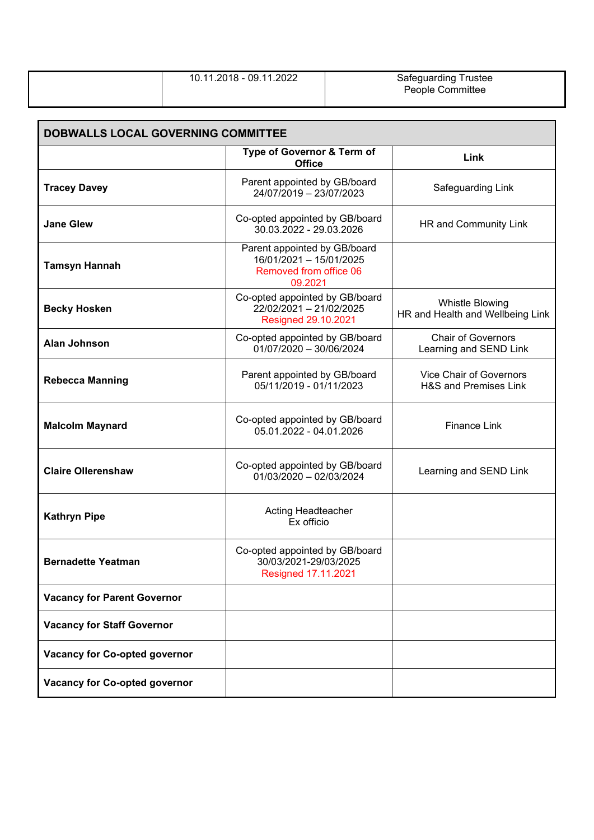| 10.11.2018 - 09.11.2022 | Safeguarding Trustee<br>People Committee |
|-------------------------|------------------------------------------|
|                         |                                          |

| DOBWALLS LOCAL GOVERNING COMMITTEE   |                                                                                              |                                                            |  |
|--------------------------------------|----------------------------------------------------------------------------------------------|------------------------------------------------------------|--|
|                                      | Type of Governor & Term of<br><b>Office</b>                                                  | Link                                                       |  |
| <b>Tracey Davey</b>                  | Parent appointed by GB/board<br>24/07/2019 - 23/07/2023                                      | Safeguarding Link                                          |  |
| <b>Jane Glew</b>                     | Co-opted appointed by GB/board<br>30.03.2022 - 29.03.2026                                    | HR and Community Link                                      |  |
| <b>Tamsyn Hannah</b>                 | Parent appointed by GB/board<br>16/01/2021 - 15/01/2025<br>Removed from office 06<br>09.2021 |                                                            |  |
| <b>Becky Hosken</b>                  | Co-opted appointed by GB/board<br>22/02/2021 - 21/02/2025<br>Resigned 29.10.2021             | <b>Whistle Blowing</b><br>HR and Health and Wellbeing Link |  |
| <b>Alan Johnson</b>                  | Co-opted appointed by GB/board<br>$01/07/2020 - 30/06/2024$                                  | <b>Chair of Governors</b><br>Learning and SEND Link        |  |
| <b>Rebecca Manning</b>               | Parent appointed by GB/board<br>05/11/2019 - 01/11/2023                                      | Vice Chair of Governors<br>H&S and Premises Link           |  |
| <b>Malcolm Maynard</b>               | Co-opted appointed by GB/board<br>05.01.2022 - 04.01.2026                                    | <b>Finance Link</b>                                        |  |
| <b>Claire Ollerenshaw</b>            | Co-opted appointed by GB/board<br>$01/03/2020 - 02/03/2024$                                  | Learning and SEND Link                                     |  |
| <b>Kathryn Pipe</b>                  | Acting Headteacher<br>Ex officio                                                             |                                                            |  |
| <b>Bernadette Yeatman</b>            | Co-opted appointed by GB/board<br>30/03/2021-29/03/2025<br>Resigned 17.11.2021               |                                                            |  |
| <b>Vacancy for Parent Governor</b>   |                                                                                              |                                                            |  |
| <b>Vacancy for Staff Governor</b>    |                                                                                              |                                                            |  |
| <b>Vacancy for Co-opted governor</b> |                                                                                              |                                                            |  |
| Vacancy for Co-opted governor        |                                                                                              |                                                            |  |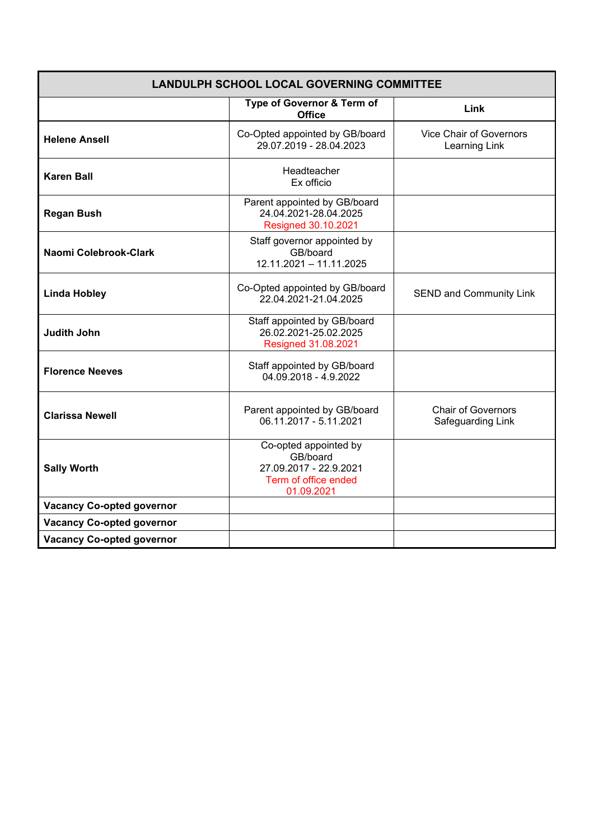| <b>LANDULPH SCHOOL LOCAL GOVERNING COMMITTEE</b> |                                                                                                   |                                                |
|--------------------------------------------------|---------------------------------------------------------------------------------------------------|------------------------------------------------|
|                                                  | Type of Governor & Term of<br><b>Office</b>                                                       | Link                                           |
| <b>Helene Ansell</b>                             | Co-Opted appointed by GB/board<br>29.07.2019 - 28.04.2023                                         | Vice Chair of Governors<br>Learning Link       |
| <b>Karen Ball</b>                                | Headteacher<br>Ex officio                                                                         |                                                |
| <b>Regan Bush</b>                                | Parent appointed by GB/board<br>24.04.2021-28.04.2025<br>Resigned 30.10.2021                      |                                                |
| Naomi Colebrook-Clark                            | Staff governor appointed by<br>GB/board<br>12.11.2021 - 11.11.2025                                |                                                |
| <b>Linda Hobley</b>                              | Co-Opted appointed by GB/board<br>22.04.2021-21.04.2025                                           | <b>SEND and Community Link</b>                 |
| <b>Judith John</b>                               | Staff appointed by GB/board<br>26.02.2021-25.02.2025<br>Resigned 31.08.2021                       |                                                |
| <b>Florence Neeves</b>                           | Staff appointed by GB/board<br>04.09.2018 - 4.9.2022                                              |                                                |
| <b>Clarissa Newell</b>                           | Parent appointed by GB/board<br>06.11.2017 - 5.11.2021                                            | <b>Chair of Governors</b><br>Safeguarding Link |
| <b>Sally Worth</b>                               | Co-opted appointed by<br>GB/board<br>27.09.2017 - 22.9.2021<br>Term of office ended<br>01.09.2021 |                                                |
| <b>Vacancy Co-opted governor</b>                 |                                                                                                   |                                                |
| <b>Vacancy Co-opted governor</b>                 |                                                                                                   |                                                |
| <b>Vacancy Co-opted governor</b>                 |                                                                                                   |                                                |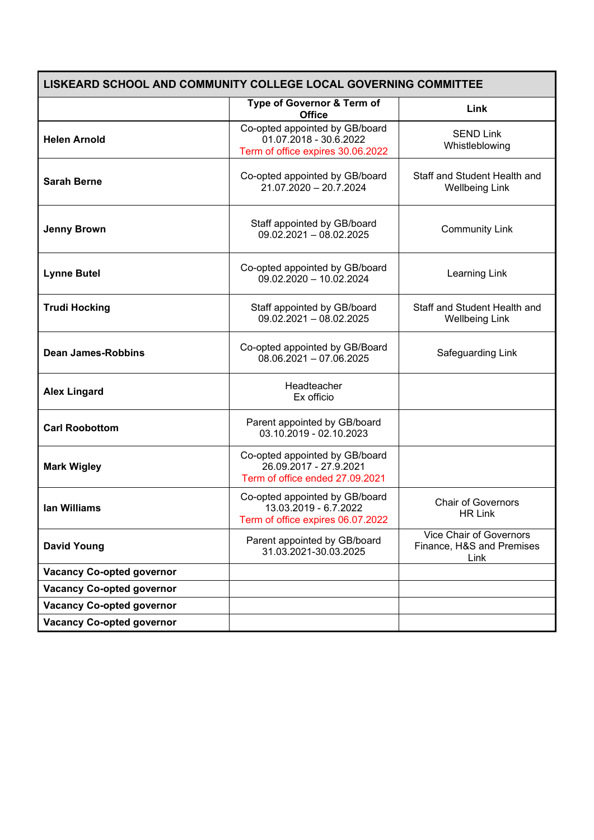| LISKEARD SCHOOL AND COMMUNITY COLLEGE LOCAL GOVERNING COMMITTEE |                                                                                               |                                                                     |  |
|-----------------------------------------------------------------|-----------------------------------------------------------------------------------------------|---------------------------------------------------------------------|--|
|                                                                 | Type of Governor & Term of<br><b>Office</b>                                                   | Link                                                                |  |
| <b>Helen Arnold</b>                                             | Co-opted appointed by GB/board<br>01.07.2018 - 30.6.2022<br>Term of office expires 30.06.2022 | <b>SEND Link</b><br>Whistleblowing                                  |  |
| <b>Sarah Berne</b>                                              | Co-opted appointed by GB/board<br>21.07.2020 - 20.7.2024                                      | Staff and Student Health and<br><b>Wellbeing Link</b>               |  |
| <b>Jenny Brown</b>                                              | Staff appointed by GB/board<br>$09.02.2021 - 08.02.2025$                                      | <b>Community Link</b>                                               |  |
| <b>Lynne Butel</b>                                              | Co-opted appointed by GB/board<br>$09.02.2020 - 10.02.2024$                                   | Learning Link                                                       |  |
| <b>Trudi Hocking</b>                                            | Staff appointed by GB/board<br>$09.02.2021 - 08.02.2025$                                      | Staff and Student Health and<br><b>Wellbeing Link</b>               |  |
| <b>Dean James-Robbins</b>                                       | Co-opted appointed by GB/Board<br>$08.06.2021 - 07.06.2025$                                   | Safeguarding Link                                                   |  |
| <b>Alex Lingard</b>                                             | Headteacher<br>Ex officio                                                                     |                                                                     |  |
| <b>Carl Roobottom</b>                                           | Parent appointed by GB/board<br>03.10.2019 - 02.10.2023                                       |                                                                     |  |
| <b>Mark Wigley</b>                                              | Co-opted appointed by GB/board<br>26.09.2017 - 27.9.2021<br>Term of office ended 27.09.2021   |                                                                     |  |
| lan Williams                                                    | Co-opted appointed by GB/board<br>13.03.2019 - 6.7.2022<br>Term of office expires 06.07.2022  | <b>Chair of Governors</b><br><b>HR Link</b>                         |  |
| <b>David Young</b>                                              | Parent appointed by GB/board<br>31.03.2021-30.03.2025                                         | <b>Vice Chair of Governors</b><br>Finance, H&S and Premises<br>Link |  |
| <b>Vacancy Co-opted governor</b>                                |                                                                                               |                                                                     |  |
| <b>Vacancy Co-opted governor</b>                                |                                                                                               |                                                                     |  |
| <b>Vacancy Co-opted governor</b>                                |                                                                                               |                                                                     |  |
| <b>Vacancy Co-opted governor</b>                                |                                                                                               |                                                                     |  |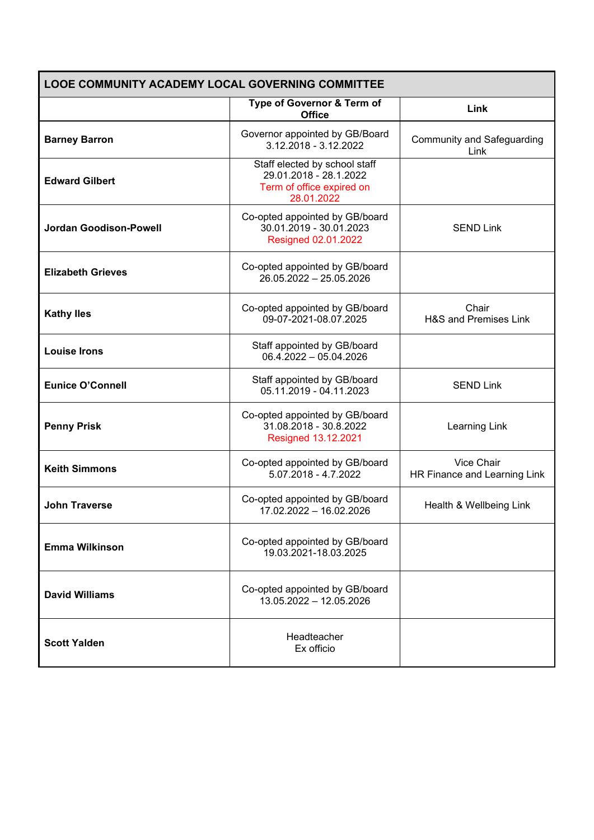| <b>LOOE COMMUNITY ACADEMY LOCAL GOVERNING COMMITTEE</b> |                                                                                                    |                                            |  |
|---------------------------------------------------------|----------------------------------------------------------------------------------------------------|--------------------------------------------|--|
|                                                         | Type of Governor & Term of<br><b>Office</b>                                                        | Link                                       |  |
| <b>Barney Barron</b>                                    | Governor appointed by GB/Board<br>3.12.2018 - 3.12.2022                                            | <b>Community and Safeguarding</b><br>Link  |  |
| <b>Edward Gilbert</b>                                   | Staff elected by school staff<br>29.01.2018 - 28.1.2022<br>Term of office expired on<br>28.01.2022 |                                            |  |
| <b>Jordan Goodison-Powell</b>                           | Co-opted appointed by GB/board<br>30.01.2019 - 30.01.2023<br>Resigned 02.01.2022                   | <b>SEND Link</b>                           |  |
| <b>Elizabeth Grieves</b>                                | Co-opted appointed by GB/board<br>$26.05.2022 - 25.05.2026$                                        |                                            |  |
| <b>Kathy lles</b>                                       | Co-opted appointed by GB/board<br>09-07-2021-08.07.2025                                            | Chair<br>H&S and Premises Link             |  |
| <b>Louise Irons</b>                                     | Staff appointed by GB/board<br>$06.4.2022 - 05.04.2026$                                            |                                            |  |
| <b>Eunice O'Connell</b>                                 | Staff appointed by GB/board<br>05.11.2019 - 04.11.2023                                             | <b>SEND Link</b>                           |  |
| <b>Penny Prisk</b>                                      | Co-opted appointed by GB/board<br>31.08.2018 - 30.8.2022<br>Resigned 13.12.2021                    | Learning Link                              |  |
| <b>Keith Simmons</b>                                    | Co-opted appointed by GB/board<br>5.07.2018 - 4.7.2022                                             | Vice Chair<br>HR Finance and Learning Link |  |
| <b>John Traverse</b>                                    | Co-opted appointed by GB/board<br>17.02.2022 - 16.02.2026                                          | Health & Wellbeing Link                    |  |
| <b>Emma Wilkinson</b>                                   | Co-opted appointed by GB/board<br>19.03.2021-18.03.2025                                            |                                            |  |
| <b>David Williams</b>                                   | Co-opted appointed by GB/board<br>13.05.2022 - 12.05.2026                                          |                                            |  |
| <b>Scott Yalden</b>                                     | Headteacher<br>Ex officio                                                                          |                                            |  |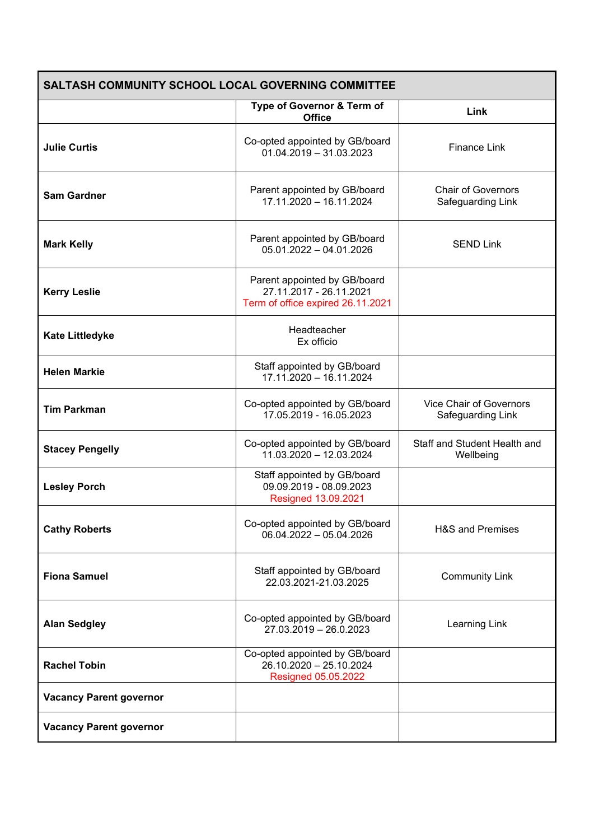| <b>SALTASH COMMUNITY SCHOOL LOCAL GOVERNING COMMITTEE</b> |                                                                                              |                                                     |  |
|-----------------------------------------------------------|----------------------------------------------------------------------------------------------|-----------------------------------------------------|--|
|                                                           | Type of Governor & Term of<br><b>Office</b>                                                  | Link                                                |  |
| <b>Julie Curtis</b>                                       | Co-opted appointed by GB/board<br>$01.04.2019 - 31.03.2023$                                  | <b>Finance Link</b>                                 |  |
| <b>Sam Gardner</b>                                        | Parent appointed by GB/board<br>17.11.2020 - 16.11.2024                                      | <b>Chair of Governors</b><br>Safeguarding Link      |  |
| <b>Mark Kelly</b>                                         | Parent appointed by GB/board<br>$05.01.2022 - 04.01.2026$                                    | <b>SEND Link</b>                                    |  |
| <b>Kerry Leslie</b>                                       | Parent appointed by GB/board<br>27.11.2017 - 26.11.2021<br>Term of office expired 26.11.2021 |                                                     |  |
| <b>Kate Littledyke</b>                                    | Headteacher<br>Ex officio                                                                    |                                                     |  |
| <b>Helen Markie</b>                                       | Staff appointed by GB/board<br>17.11.2020 - 16.11.2024                                       |                                                     |  |
| <b>Tim Parkman</b>                                        | Co-opted appointed by GB/board<br>17.05.2019 - 16.05.2023                                    | <b>Vice Chair of Governors</b><br>Safeguarding Link |  |
| <b>Stacey Pengelly</b>                                    | Co-opted appointed by GB/board<br>11.03.2020 - 12.03.2024                                    | Staff and Student Health and<br>Wellbeing           |  |
| <b>Lesley Porch</b>                                       | Staff appointed by GB/board<br>09.09.2019 - 08.09.2023<br>Resigned 13.09.2021                |                                                     |  |
| <b>Cathy Roberts</b>                                      | Co-opted appointed by GB/board<br>06.04.2022 - 05.04.2026                                    | <b>H&amp;S and Premises</b>                         |  |
| <b>Fiona Samuel</b>                                       | Staff appointed by GB/board<br>22.03.2021-21.03.2025                                         | <b>Community Link</b>                               |  |
| <b>Alan Sedgley</b>                                       | Co-opted appointed by GB/board<br>27.03.2019 - 26.0.2023                                     | Learning Link                                       |  |
| <b>Rachel Tobin</b>                                       | Co-opted appointed by GB/board<br>26.10.2020 - 25.10.2024<br>Resigned 05.05.2022             |                                                     |  |
| <b>Vacancy Parent governor</b>                            |                                                                                              |                                                     |  |
| <b>Vacancy Parent governor</b>                            |                                                                                              |                                                     |  |